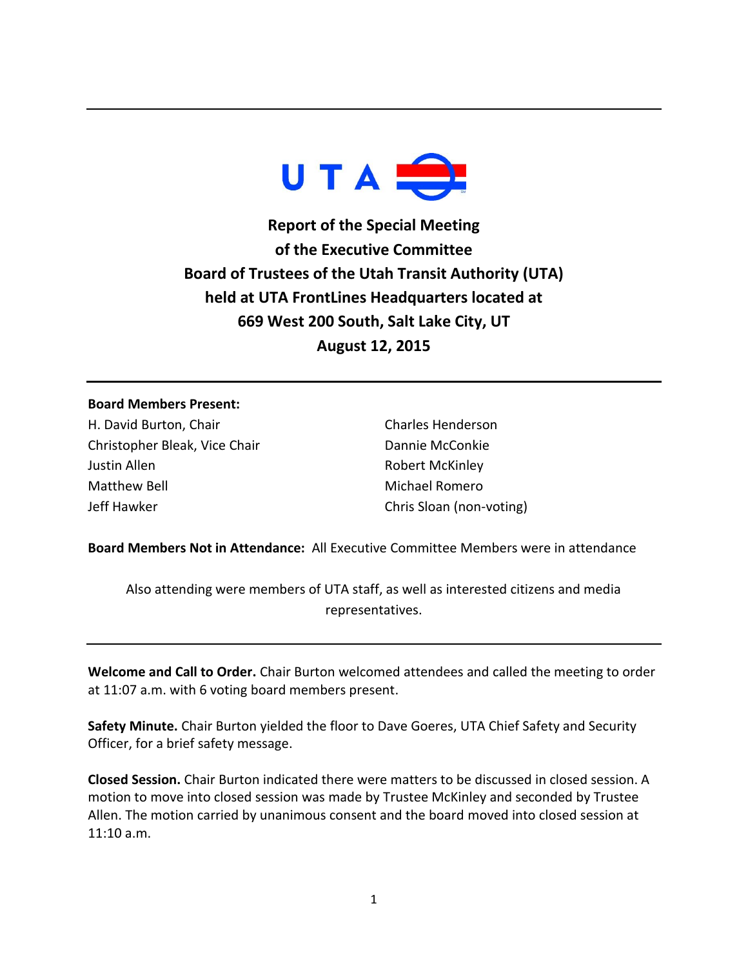

**Report of the Special Meeting of the Executive Committee Board of Trustees of the Utah Transit Authority (UTA) held at UTA FrontLines Headquarters located at 669 West 200 South, Salt Lake City, UT August 12, 2015**

## **Board Members Present:**

H. David Burton, Chair Christopher Bleak, Vice Chair Justin Allen Matthew Bell Jeff Hawker

Charles Henderson Dannie McConkie Robert McKinley Michael Romero Chris Sloan (non-voting)

**Board Members Not in Attendance:** All Executive Committee Members were in attendance

Also attending were members of UTA staff, as well as interested citizens and media representatives.

**Welcome and Call to Order.** Chair Burton welcomed attendees and called the meeting to order at 11:07 a.m. with 6 voting board members present.

**Safety Minute.** Chair Burton yielded the floor to Dave Goeres, UTA Chief Safety and Security Officer, for a brief safety message.

**Closed Session.** Chair Burton indicated there were matters to be discussed in closed session. A motion to move into closed session was made by Trustee McKinley and seconded by Trustee Allen. The motion carried by unanimous consent and the board moved into closed session at 11:10 a.m.